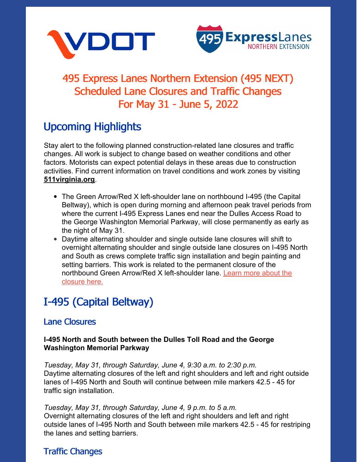



## 495 Express Lanes Northern Extension (495 NEXT) Scheduled Lane Closures and Traffic Changes For May 31 - June 5, 2022

## Upcoming Highlights

Stay alert to the following planned construction-related lane closures and traffic changes. All work is subject to change based on weather conditions and other factors. Motorists can expect potential delays in these areas due to construction activities. Find current information on travel conditions and work zones by visiting **[511virginia.org](https://www.511virginia.org/)**.

- The Green Arrow/Red X left-shoulder lane on northbound I-495 (the Capital Beltway), which is open during morning and afternoon peak travel periods from where the current I-495 Express Lanes end near the Dulles Access Road to the George Washington Memorial Parkway, will close permanently as early as the night of May 31.
- Daytime alternating shoulder and single outside lane closures will shift to overnight alternating shoulder and single outside lane closures on I-495 North and South as crews complete traffic sign installation and begin painting and setting barriers. This work is related to the permanent closure of the northbound Green Arrow/Red X [left-shoulder](https://www.virginiadot.org/newsroom/northern-virginia/2022/left-shoulder-lane-on-northbound-i-495-capital-beltway-in-virginia-to-permanently-close-as-early-as-may-3105-25-2022.asp) lane. Learn more about the closure here.

# I-495 (Capital Beltway)

### Lane Closures

#### **I-495 North and South between the Dulles Toll Road and the George Washington Memorial Parkway**

*Tuesday, May 31, through Saturday, June 4, 9:30 a.m. to 2:30 p.m.* Daytime alternating closures of the left and right shoulders and left and right outside lanes of I-495 North and South will continue between mile markers 42.5 - 45 for traffic sign installation.

*Tuesday, May 31, through Saturday, June 4, 9 p.m. to 5 a.m.* Overnight alternating closures of the left and right shoulders and left and right outside lanes of I-495 North and South between mile markers 42.5 - 45 for restriping the lanes and setting barriers.

### Traffic Changes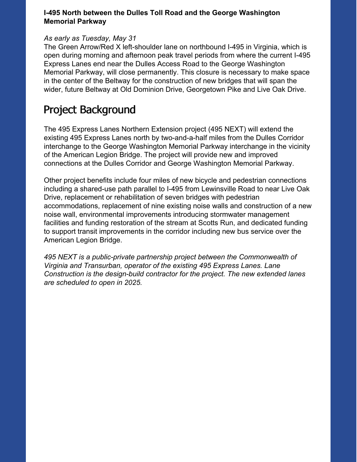#### **I-495 North between the Dulles Toll Road and the George Washington Memorial Parkway**

#### *As early as Tuesday, May 31*

The Green Arrow/Red X left-shoulder lane on northbound I-495 in Virginia, which is open during morning and afternoon peak travel periods from where the current I-495 Express Lanes end near the Dulles Access Road to the George Washington Memorial Parkway, will close permanently. This closure is necessary to make space in the center of the Beltway for the construction of new bridges that will span the wider, future Beltway at Old Dominion Drive, Georgetown Pike and Live Oak Drive.

### Project Background

The 495 Express Lanes Northern Extension project (495 NEXT) will extend the existing 495 Express Lanes north by two-and-a-half miles from the Dulles Corridor interchange to the George Washington Memorial Parkway interchange in the vicinity of the American Legion Bridge. The project will provide new and improved connections at the Dulles Corridor and George Washington Memorial Parkway.

Other project benefits include four miles of new bicycle and pedestrian connections including a shared-use path parallel to I-495 from Lewinsville Road to near Live Oak Drive, replacement or rehabilitation of seven bridges with pedestrian accommodations, replacement of nine existing noise walls and construction of a new noise wall, environmental improvements introducing stormwater management facilities and funding restoration of the stream at Scotts Run, and dedicated funding to support transit improvements in the corridor including new bus service over the American Legion Bridge.

*495 NEXT is a public-private partnership project between the Commonwealth of Virginia and Transurban, operator of the existing 495 Express Lanes. Lane Construction is the design-build contractor for the project. The new extended lanes are scheduled to open in 2025.*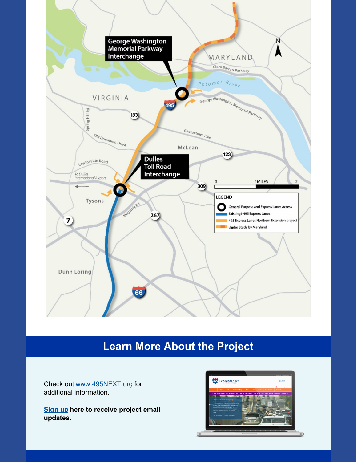

## **Learn More About the Project**

Check out [www.495NEXT.org](http://www.495northernextension.org/) for additional information.

**[Sign](http://www.495northernextension.org/contact/default.asp) up here to receive project email updates.**